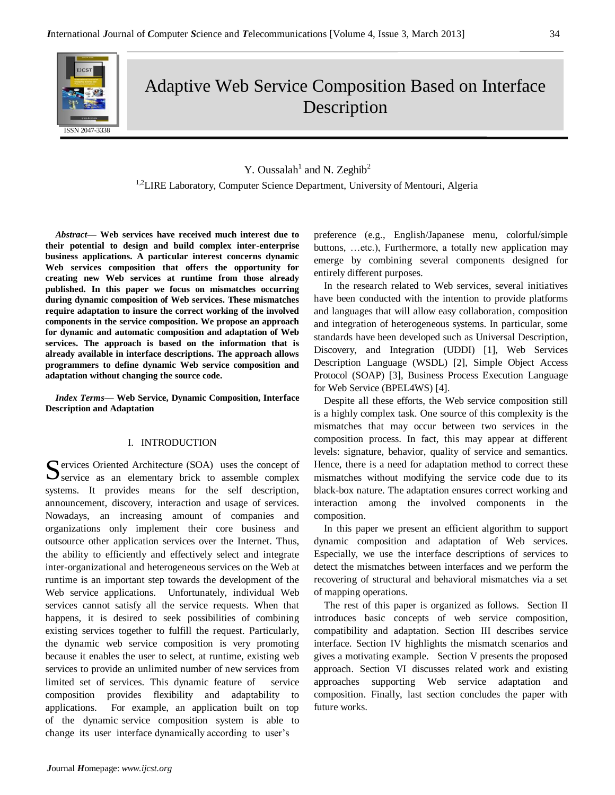

# Adaptive Web Service Composition Based on Interface Description

# Y. Oussalah<sup>1</sup> and N. Zeghib<sup>2</sup>

<sup>1,2</sup>LIRE Laboratory, Computer Science Department, University of Mentouri, Algeria

*Abstract***— Web services have received much interest due to their potential to design and build complex inter-enterprise business applications. A particular interest concerns dynamic Web services composition that offers the opportunity for creating new Web services at runtime from those already published. In this paper we focus on mismatches occurring during dynamic composition of Web services. These mismatches require adaptation to insure the correct working of the involved components in the service composition. We propose an approach for dynamic and automatic composition and adaptation of Web services. The approach is based on the information that is already available in interface descriptions. The approach allows programmers to define dynamic Web service composition and adaptation without changing the source code.**

*Index Terms***— Web Service, Dynamic Composition, Interface Description and Adaptation**

## I. INTRODUCTION

**C** ervices Oriented Architecture (SOA) uses the concept of Services Oriented Architecture (SOA) uses the concept of service as an elementary brick to assemble complex systems. It provides means for the self description, announcement, discovery, interaction and usage of services. Nowadays, an increasing amount of companies and organizations only implement their core business and outsource other application services over the Internet. Thus, the ability to efficiently and effectively select and integrate inter-organizational and heterogeneous services on the Web at runtime is an important step towards the development of the Web service applications. Unfortunately, individual Web services cannot satisfy all the service requests. When that happens, it is desired to seek possibilities of combining existing services together to fulfill the request. Particularly, the dynamic web service composition is very promoting because it enables the user to select, at runtime, existing web services to provide an unlimited number of new services from limited set of services. This dynamic feature of service composition provides flexibility and adaptability to applications. For example, an application built on top of the dynamic service composition system is able to change its user interface dynamically according to user's

preference (e.g., English/Japanese menu, colorful/simple buttons, …etc.), Furthermore, a totally new application may emerge by combining several components designed for entirely different purposes.

In the research related to Web services, several initiatives have been conducted with the intention to provide platforms and languages that will allow easy collaboration, composition and integration of heterogeneous systems. In particular, some standards have been developed such as Universal Description, Discovery, and Integration (UDDI) [1], Web Services Description Language (WSDL) [2], Simple Object Access Protocol (SOAP) [3], Business Process Execution Language for Web Service (BPEL4WS) [4].

Despite all these efforts, the Web service composition still is a highly complex task. One source of this complexity is the mismatches that may occur between two services in the composition process. In fact, this may appear at different levels: signature, behavior, quality of service and semantics. Hence, there is a need for adaptation method to correct these mismatches without modifying the service code due to its black-box nature. The adaptation ensures correct working and interaction among the involved components in the composition.

In this paper we present an efficient algorithm to support dynamic composition and adaptation of Web services. Especially, we use the interface descriptions of services to detect the mismatches between interfaces and we perform the recovering of structural and behavioral mismatches via a set of mapping operations.

The rest of this paper is organized as follows. Section II introduces basic concepts of web service composition, compatibility and adaptation. Section III describes service interface. Section IV highlights the mismatch scenarios and gives a motivating example. Section V presents the proposed approach. Section VI discusses related work and existing approaches supporting Web service adaptation and composition. Finally, last section concludes the paper with future works.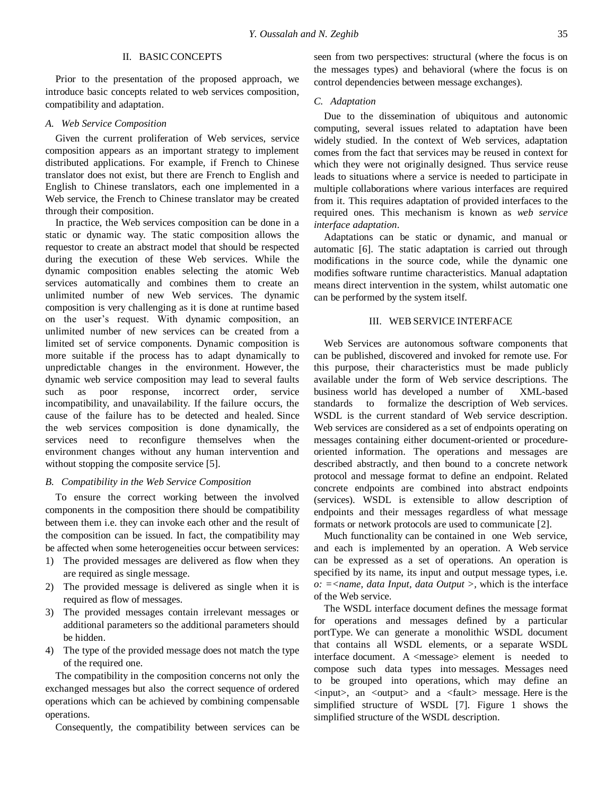# II. BASIC CONCEPTS

Prior to the presentation of the proposed approach, we introduce basic concepts related to web services composition, compatibility and adaptation.

#### *A. Web Service Composition*

Given the current proliferation of Web services, service composition appears as an important strategy to implement distributed applications. For example, if French to Chinese translator does not exist, but there are French to English and English to Chinese translators, each one implemented in a Web service, the French to Chinese translator may be created through their composition.

In practice, the Web services composition can be done in a static or dynamic way. The static composition allows the requestor to create an abstract model that should be respected during the execution of these Web services. While the dynamic composition enables selecting the atomic Web services automatically and combines them to create an unlimited number of new Web services. The dynamic composition is very challenging as it is done at runtime based on the user"s request. With dynamic composition, an unlimited number of new services can be created from a limited set of service components. Dynamic composition is more suitable if the process has to adapt dynamically to unpredictable changes in the environment. However, the dynamic web service composition may lead to several faults such as poor response, incorrect order, service incompatibility, and unavailability. If the failure occurs, the cause of the failure has to be detected and healed. Since the web services composition is done dynamically, the services need to reconfigure themselves when the environment changes without any human intervention and without stopping the composite service [5].

#### *B. Compatibility in the Web Service Composition*

To ensure the correct working between the involved components in the composition there should be compatibility between them i.e. they can invoke each other and the result of the composition can be issued. In fact, the compatibility may be affected when some heterogeneities occur between services:

- 1) The provided messages are delivered as flow when they are required as single message.
- 2) The provided message is delivered as single when it is required as flow of messages.
- 3) The provided messages contain irrelevant messages or additional parameters so the additional parameters should be hidden.
- 4) The type of the provided message does not match the type of the required one.

The compatibility in the composition concerns not only the exchanged messages but also the correct sequence of ordered operations which can be achieved by combining compensable operations.

Consequently, the compatibility between services can be

seen from two perspectives: structural (where the focus is on the messages types) and behavioral (where the focus is on control dependencies between message exchanges).

#### *C. Adaptation*

Due to the dissemination of ubiquitous and autonomic computing, several issues related to adaptation have been widely studied. In the context of Web services, adaptation comes from the fact that services may be reused in context for which they were not originally designed. Thus service reuse leads to situations where a service is needed to participate in multiple collaborations where various interfaces are required from it. This requires adaptation of provided interfaces to the required ones. This mechanism is known as *web service interface adaptation*.

Adaptations can be static or dynamic, and manual or automatic [6]. The static adaptation is carried out through modifications in the source code, while the dynamic one modifies software runtime characteristics. Manual adaptation means direct intervention in the system, whilst automatic one can be performed by the system itself.

# III. WEB SERVICE INTERFACE

Web Services are autonomous software components that can be published, discovered and invoked for remote use. For this purpose, their characteristics must be made publicly available under the form of Web service descriptions. The business world has developed a number of XML-based standards to formalize the description of Web services. WSDL is the current standard of Web service description. Web services are considered as a set of endpoints operating on messages containing either document-oriented or procedureoriented information. The operations and messages are described abstractly, and then bound to a concrete network protocol and message format to define an endpoint. Related concrete endpoints are combined into abstract endpoints (services). WSDL is extensible to allow description of endpoints and their messages regardless of what message formats or network protocols are used to communicate [2].

Much functionality can be contained in one Web service, and each is implemented by an operation. A Web service can be expressed as a set of operations. An operation is specified by its name, its input and output message types, i.e. *o: =<name, data Input, data Output >,* which is the interface of the Web service.

The WSDL interface document defines the message format for operations and messages defined by a particular portType. We can generate a monolithic WSDL document that contains all WSDL elements, or a separate WSDL interface document. A <message> element is needed to compose such data types into messages. Messages need to be grouped into operations, which may define an  $\langle \text{input} \rangle$ , an  $\langle \text{output} \rangle$  and a  $\langle \text{fault} \rangle$  message. Here is the simplified structure of WSDL [7]. Figure 1 shows the simplified structure of the WSDL description.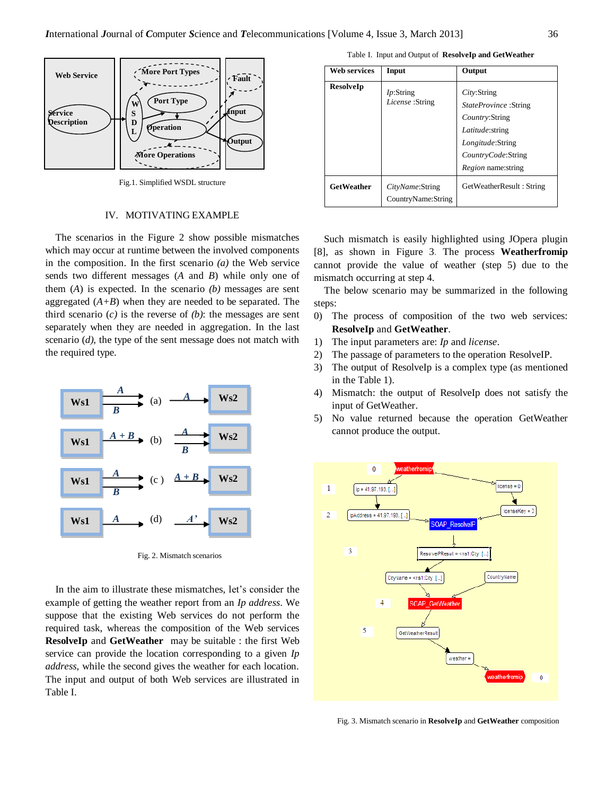

Fig.1. Simplified WSDL structure

## IV. MOTIVATING EXAMPLE

The scenarios in the Figure 2 show possible mismatches which may occur at runtime between the involved components in the composition. In the first scenario *(a)* the Web service sends two different messages (*A* and *B*) while only one of them (*A*) is expected. In the scenario *(b)* messages are sent aggregated  $(A+B)$  when they are needed to be separated. The third scenario (*c)* is the reverse of *(b)*: the messages are sent separately when they are needed in aggregation. In the last scenario (*d)*, the type of the sent message does not match with the required type.



Fig. 2. Mismatch scenarios

In the aim to illustrate these mismatches, let's consider the example of getting the weather report from an *Ip address*. We suppose that the existing Web services do not perform the required task, whereas the composition of the Web services **ResolveIp** and **GetWeather** may be suitable : the first Web service can provide the location corresponding to a given *Ip address*, while the second gives the weather for each location. The input and output of both Web services are illustrated in Table I.

Table I. Input and Output of **ResolveIp and GetWeather**

| Web services      | Input                                 | Output                                                                                                                                             |
|-------------------|---------------------------------------|----------------------------------------------------------------------------------------------------------------------------------------------------|
| <b>ResolveIp</b>  | <i>Ip</i> :String<br>License: String  | City:String<br>StateProvince: String<br>Country:String<br>Latitude: string<br>Longitude:String<br>CountryCode:String<br><i>Region</i> name: string |
| <b>GetWeather</b> | CityName:String<br>CountryName:String | GetWeatherResult: String                                                                                                                           |

Such mismatch is easily highlighted using JOpera plugin [8], as shown in Figure 3. The process **Weatherfromip** cannot provide the value of weather (step 5) due to the mismatch occurring at step 4.

The below scenario may be summarized in the following steps:

- 0) The process of composition of the two web services: **ResolveIp** and **GetWeather**.
- 1) The input parameters are: *Ip* and *license*.
- 2) The passage of parameters to the operation ResolveIP.
- 3) The output of ResolveIp is a complex type (as mentioned in the Table 1).
- 4) Mismatch: the output of ResolveIp does not satisfy the input of GetWeather.
- 5) No value returned because the operation GetWeather cannot produce the output.



Fig. 3. Mismatch scenario in **ResolveIp** and **GetWeather** composition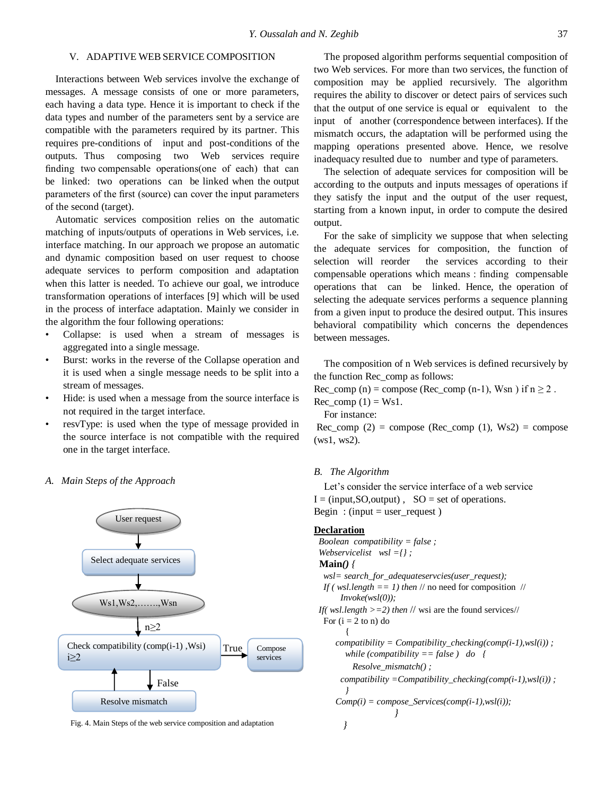# V. ADAPTIVE WEB SERVICE COMPOSITION

Interactions between Web services involve the exchange of messages. A message consists of one or more parameters, each having a data type. Hence it is important to check if the data types and number of the parameters sent by a service are compatible with the parameters required by its partner. This requires pre-conditions of input and post-conditions of the outputs. Thus composing two Web services require finding two compensable operations(one of each) that can be linked: two operations can be linked when the output parameters of the first (source) can cover the input parameters of the second (target).

Automatic services composition relies on the automatic matching of inputs/outputs of operations in Web services, i.e. interface matching. In our approach we propose an automatic and dynamic composition based on user request to choose adequate services to perform composition and adaptation when this latter is needed. To achieve our goal, we introduce transformation operations of interfaces [9] which will be used in the process of interface adaptation. Mainly we consider in the algorithm the four following operations:

- Collapse: is used when a stream of messages is aggregated into a single message.
- Burst: works in the reverse of the Collapse operation and it is used when a single message needs to be split into a stream of messages.
- Hide: is used when a message from the source interface is not required in the target interface.
- resvType: is used when the type of message provided in the source interface is not compatible with the required one in the target interface.

## *A. Main Steps of the Approach*



Fig. 4. Main Steps of the web service composition and adaptation

The proposed algorithm performs sequential composition of two Web services. For more than two services, the function of composition may be applied recursively. The algorithm requires the ability to discover or detect pairs of services such that the output of one service is equal or equivalent to the input of another (correspondence between interfaces). If the mismatch occurs, the adaptation will be performed using the mapping operations presented above. Hence, we resolve inadequacy resulted due to number and type of parameters.

The selection of adequate services for composition will be according to the outputs and inputs messages of operations if they satisfy the input and the output of the user request, starting from a known input, in order to compute the desired output.

For the sake of simplicity we suppose that when selecting the adequate services for composition, the function of selection will reorder the services according to their compensable operations which means : finding compensable operations that can be linked. Hence, the operation of selecting the adequate services performs a sequence planning from a given input to produce the desired output. This insures behavioral compatibility which concerns the dependences between messages.

The composition of n Web services is defined recursively by the function Rec\_comp as follows:

Rec\_comp (n) = compose (Rec\_comp (n-1), Wsn ) if  $n \ge 2$ .

 $Rec\_comp(1) = Ws1.$ 

For instance:

Rec\_comp  $(2)$  = compose (Rec\_comp  $(1)$ , Ws2) = compose (ws1, ws2).

# *B. The Algorithm*

Let's consider the service interface of a web service  $I = (input, SO, output)$ ,  $SO = set of operations$ . Begin :  $(input = user\_request)$ 

# **Declaration**

 *Boolean compatibility = false ; Webservicelist wsl ={} ;*  **Main***() { wsl= search\_for\_adequateservcies(user\_request); If ( wsl.length == 1) then*  $\text{/}$  no need for composition  $\text{/}$  *Invoke(wsl(0)); If( wsl.length >=2) then* // wsi are the found services// For  $(i = 2$  to n) do  $\{$  *compatibility = Compatibility\_checking(comp(i-1),wsl(i)) ; while (compatibility == false ) do { Resolve\_mismatch() ; compatibility =Compatibility\_checking(comp(i-1),wsl(i)) ; } Comp(i) = compose\_Services(comp(i-1),wsl(i)); } }*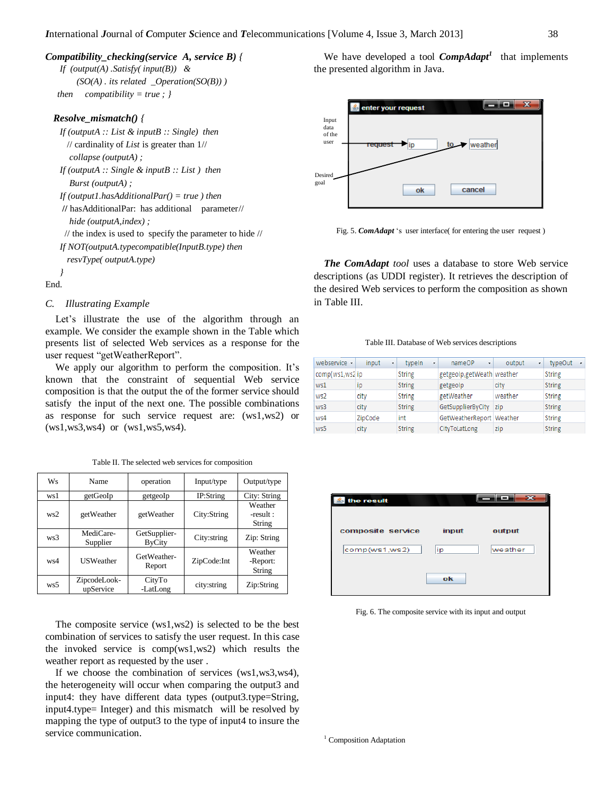# *Compatibility\_checking(service A, service B) {*

 *If (output(A) .Satisfy( input(B)) & (SO(A) . its related \_Operation(SO(B)) ) then compatibility = true ; }*

#### *Resolve\_mismatch() {*

 *If (outputA :: List & inputB :: Single) then* // cardinality of *List* is greater than 1//  *collapse (outputA) ; If (outputA :: Single & inputB :: List ) then Burst (outputA) ; If (output1.hasAdditionalPar() = true ) then* **//** hasAdditionalPar: has additional parameter//  *hide (outputA,index) ;* // the index is used to specify the parameter to hide //  *If NOT(outputA.typecompatible(InputB.type) then* 

# *resvType( outputA.type)*

 *}*  End.

## *C. Illustrating Example*

Let's illustrate the use of the algorithm through an example. We consider the example shown in the Table which presents list of selected Web services as a response for the user request "getWeatherReport".

We apply our algorithm to perform the composition. It's known that the constraint of sequential Web service composition is that the output the of the former service should satisfy the input of the next one. The possible combinations as response for such service request are: (ws1,ws2) or (ws1,ws3,ws4) or (ws1,ws5,ws4).

Table II. The selected web services for composition

| Ws  | Name                      | operation                     | Input/type  | Output/type                           |
|-----|---------------------------|-------------------------------|-------------|---------------------------------------|
| ws1 | getGeoIp                  | getgeoIp                      | IP:String   | City: String                          |
| ws2 | getWeather                | getWeather                    | City:String | Weather<br>-result :<br><b>String</b> |
| ws3 | MediCare-<br>Supplier     | GetSupplier-<br><b>ByCity</b> | City:string | Zip: String                           |
| ws4 | <b>USWeather</b>          | GetWeather-<br>Report         | ZipCode:Int | Weather<br>-Report:<br>String         |
| ws5 | ZipcodeLook-<br>upService | CityTo<br>-LatLong            | city:string | Zip:String                            |

The composite service (ws1,ws2) is selected to be the best combination of services to satisfy the user request. In this case the invoked service is comp(ws1,ws2) which results the weather report as requested by the user .

If we choose the combination of services (ws1,ws3,ws4), the heterogeneity will occur when comparing the output3 and input4: they have different data types (output3.type=String, input4.type= Integer) and this mismatch will be resolved by mapping the type of output3 to the type of input4 to insure the service communication.

We have developed a tool  $\textit{CompAdapt}^1$  that implements the presented algorithm in Java.



Fig. 5. *ComAdapt* 's user interface( for entering the user request)

*The ComAdapt tool* uses a database to store Web service descriptions (as UDDI register). It retrieves the description of the desired Web services to perform the composition as shown in Table III.

#### Table III. Database of Web services descriptions

| webservice $\sim$ | input<br>٠ | typeln<br>÷   | nameOP<br>÷                | output<br>٠ | typeOut<br>٠  |
|-------------------|------------|---------------|----------------------------|-------------|---------------|
| comp(ws1,ws2 ip   |            | <b>String</b> | getgeolp, getWeath weather |             | <b>String</b> |
| ws1               | ip         | <b>String</b> | getgeolp                   | city        | <b>String</b> |
| ws2               | city       | <b>String</b> | getWeather                 | weather     | <b>String</b> |
| ws3               | city       | <b>String</b> | GetSupplierByCity          | zip         | <b>String</b> |
| ws4               | ZipCode    | int           | GetWeatherReport   Weather |             | <b>String</b> |
| ws5               | city       | <b>String</b> | CityToLatLong              | zip         | <b>String</b> |

| the result        |       | 53      |
|-------------------|-------|---------|
|                   |       |         |
| composite service | input | output  |
| comp(ws1,ws2)     | ip    | weather |
|                   | ok    |         |

Fig. 6. The composite service with its input and output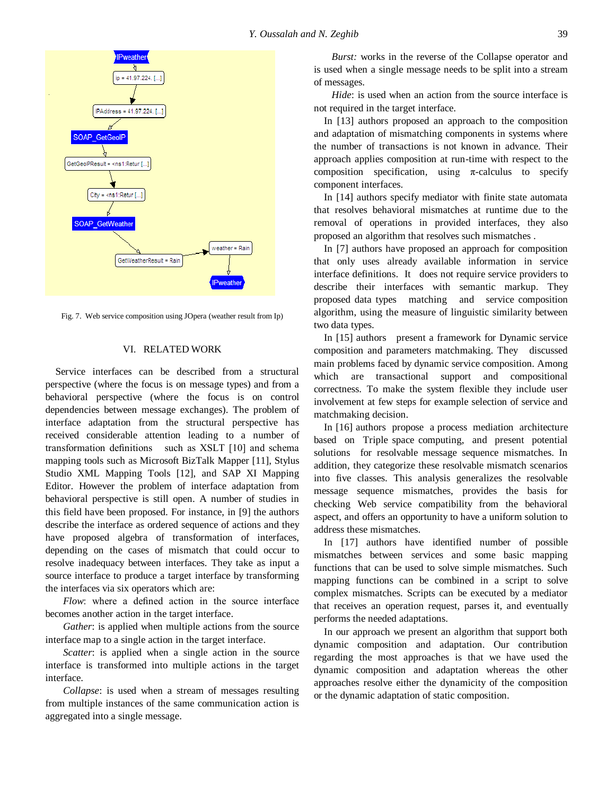

Fig. 7. Web service composition using JOpera (weather result from Ip)

## VI. RELATED WORK

Service interfaces can be described from a structural perspective (where the focus is on message types) and from a behavioral perspective (where the focus is on control dependencies between message exchanges). The problem of interface adaptation from the structural perspective has received considerable attention leading to a number of transformation definitions such as XSLT [10] and schema mapping tools such as Microsoft BizTalk Mapper [11], Stylus Studio XML Mapping Tools [12], and SAP XI Mapping Editor. However the problem of interface adaptation from behavioral perspective is still open. A number of studies in this field have been proposed. For instance, in [9] the authors describe the interface as ordered sequence of actions and they have proposed algebra of transformation of interfaces, depending on the cases of mismatch that could occur to resolve inadequacy between interfaces. They take as input a source interface to produce a target interface by transforming the interfaces via six operators which are:

*Flow*: where a defined action in the source interface becomes another action in the target interface.

*Gather*: is applied when multiple actions from the source interface map to a single action in the target interface.

*Scatter*: is applied when a single action in the source interface is transformed into multiple actions in the target interface.

*Collapse*: is used when a stream of messages resulting from multiple instances of the same communication action is aggregated into a single message.

*Burst:* works in the reverse of the Collapse operator and is used when a single message needs to be split into a stream of messages.

*Hide*: is used when an action from the source interface is not required in the target interface.

In [13] authors proposed an approach to the composition and adaptation of mismatching components in systems where the number of transactions is not known in advance. Their approach applies composition at run-time with respect to the composition specification, using π-calculus to specify component interfaces.

In [14] authors specify mediator with finite state automata that resolves behavioral mismatches at runtime due to the removal of operations in provided interfaces, they also proposed an algorithm that resolves such mismatches .

In [7] authors have proposed an approach for composition that only uses already available information in service interface definitions. It does not require service providers to describe their interfaces with semantic markup. They proposed data types matching and service composition algorithm, using the measure of linguistic similarity between two data types.

In [15] authors present a framework for Dynamic service composition and parameters matchmaking. They discussed main problems faced by dynamic service composition. Among which are transactional support and compositional correctness. To make the system flexible they include user involvement at few steps for example selection of service and matchmaking decision.

In [16] authors propose a process mediation architecture based on Triple space computing, and present potential solutions for resolvable message sequence mismatches. In addition, they categorize these resolvable mismatch scenarios into five classes. This analysis generalizes the resolvable message sequence mismatches, provides the basis for checking Web service compatibility from the behavioral aspect, and offers an opportunity to have a uniform solution to address these mismatches.

In [17] authors have identified number of possible mismatches between services and some basic mapping functions that can be used to solve simple mismatches. Such mapping functions can be combined in a script to solve complex mismatches. Scripts can be executed by a mediator that receives an operation request, parses it, and eventually performs the needed adaptations.

In our approach we present an algorithm that support both dynamic composition and adaptation. Our contribution regarding the most approaches is that we have used the dynamic composition and adaptation whereas the other approaches resolve either the dynamicity of the composition or the dynamic adaptation of static composition.